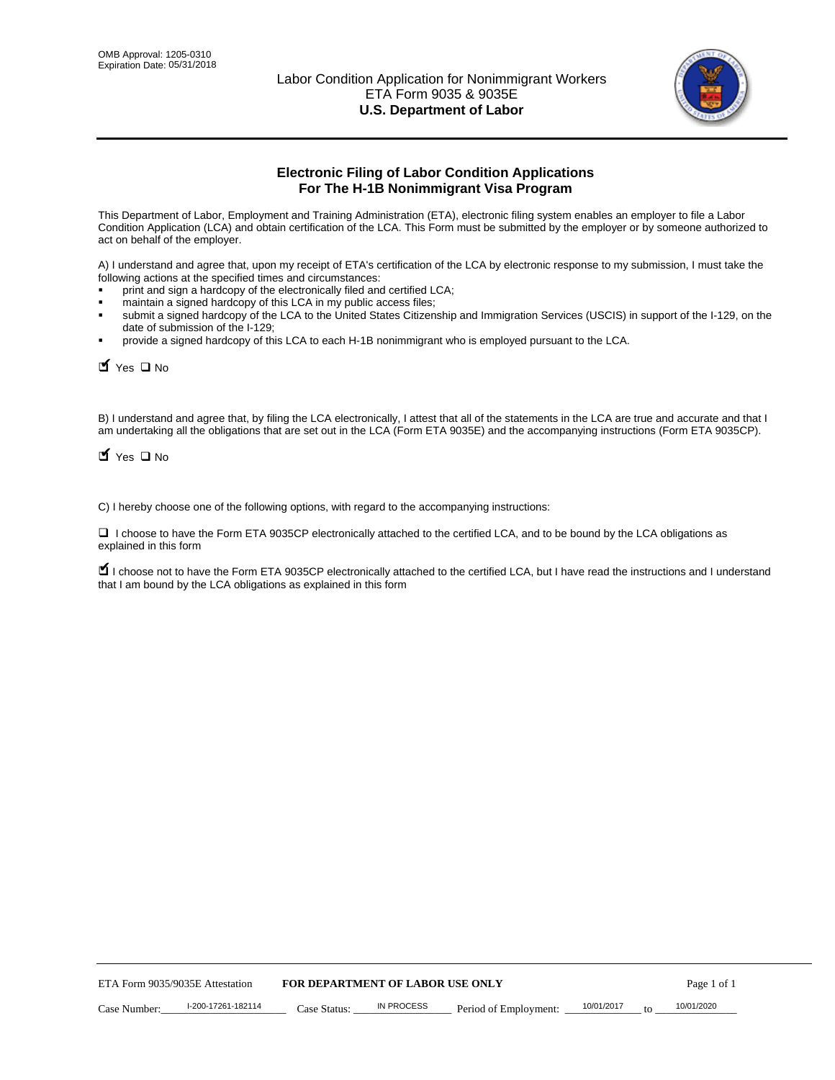

# **Electronic Filing of Labor Condition Applications For The H-1B Nonimmigrant Visa Program**

This Department of Labor, Employment and Training Administration (ETA), electronic filing system enables an employer to file a Labor Condition Application (LCA) and obtain certification of the LCA. This Form must be submitted by the employer or by someone authorized to act on behalf of the employer.

A) I understand and agree that, upon my receipt of ETA's certification of the LCA by electronic response to my submission, I must take the following actions at the specified times and circumstances:

- print and sign a hardcopy of the electronically filed and certified LCA;
- maintain a signed hardcopy of this LCA in my public access files;
- submit a signed hardcopy of the LCA to the United States Citizenship and Immigration Services (USCIS) in support of the I-129, on the date of submission of the I-129;
- provide a signed hardcopy of this LCA to each H-1B nonimmigrant who is employed pursuant to the LCA.

| Yes O No                        |                                                                  |                                  |                   |                                                                                                                                                                                                                                                                                     |            |    |             |
|---------------------------------|------------------------------------------------------------------|----------------------------------|-------------------|-------------------------------------------------------------------------------------------------------------------------------------------------------------------------------------------------------------------------------------------------------------------------------------|------------|----|-------------|
| $\blacksquare$ Yes $\square$ No |                                                                  |                                  |                   | B) I understand and agree that, by filing the LCA electronically, I attest that all of the statements in the LCA are true and accurate and th<br>am undertaking all the obligations that are set out in the LCA (Form ETA 9035E) and the accompanying instructions (Form ETA 9035CF |            |    |             |
|                                 |                                                                  |                                  |                   | C) I hereby choose one of the following options, with regard to the accompanying instructions:                                                                                                                                                                                      |            |    |             |
| explained in this form          |                                                                  |                                  |                   | □ I choose to have the Form ETA 9035CP electronically attached to the certified LCA, and to be bound by the LCA obligations as                                                                                                                                                      |            |    |             |
|                                 | that I am bound by the LCA obligations as explained in this form |                                  |                   | I choose not to have the Form ETA 9035CP electronically attached to the certified LCA, but I have read the instructions and I unders                                                                                                                                                |            |    |             |
|                                 |                                                                  |                                  |                   |                                                                                                                                                                                                                                                                                     |            |    |             |
|                                 |                                                                  |                                  |                   |                                                                                                                                                                                                                                                                                     |            |    |             |
|                                 |                                                                  |                                  |                   |                                                                                                                                                                                                                                                                                     |            |    |             |
|                                 |                                                                  |                                  |                   |                                                                                                                                                                                                                                                                                     |            |    |             |
|                                 |                                                                  |                                  |                   |                                                                                                                                                                                                                                                                                     |            |    |             |
|                                 |                                                                  |                                  |                   |                                                                                                                                                                                                                                                                                     |            |    |             |
|                                 |                                                                  |                                  |                   |                                                                                                                                                                                                                                                                                     |            |    |             |
|                                 |                                                                  |                                  |                   |                                                                                                                                                                                                                                                                                     |            |    |             |
|                                 |                                                                  |                                  |                   |                                                                                                                                                                                                                                                                                     |            |    |             |
|                                 |                                                                  |                                  |                   |                                                                                                                                                                                                                                                                                     |            |    |             |
| ETA Form 9035/9035E Attestation |                                                                  | FOR DEPARTMENT OF LABOR USE ONLY |                   |                                                                                                                                                                                                                                                                                     |            |    | Page 1 of 1 |
| Case Number:                    | I-200-17261-182114                                               | Case Status:                     | <b>IN PROCESS</b> | Period of Employment:                                                                                                                                                                                                                                                               | 10/01/2017 | to | 10/01/2020  |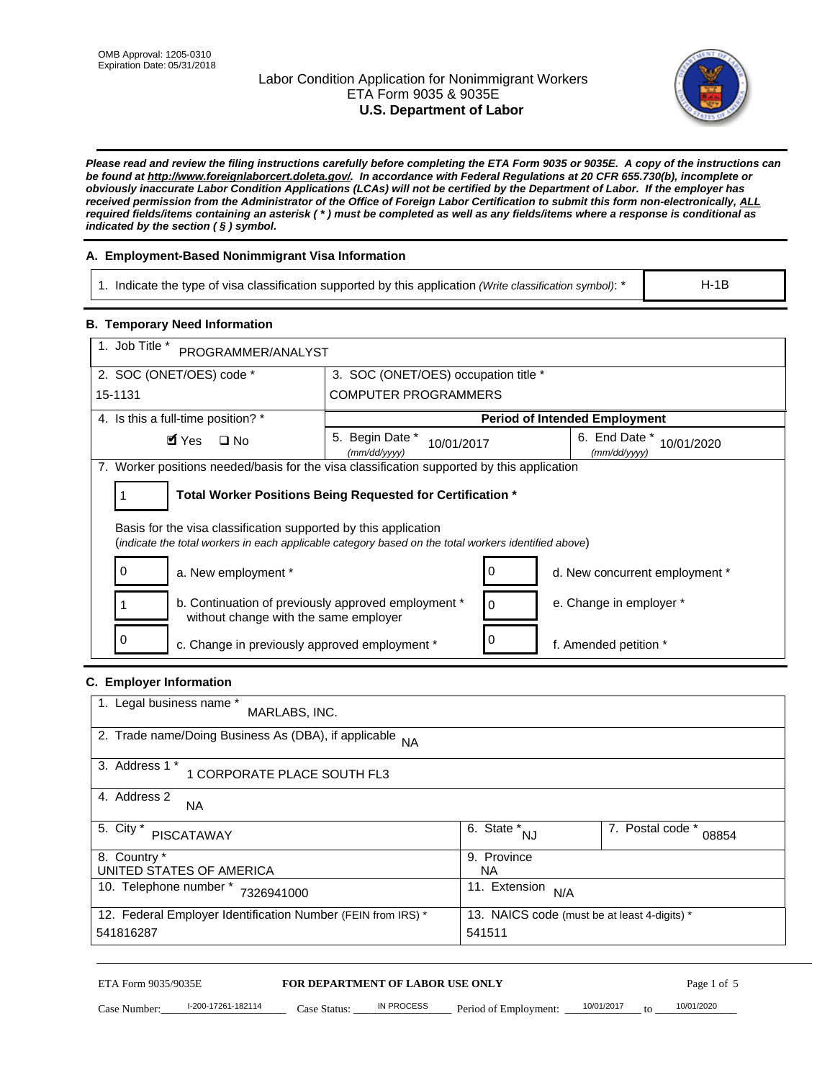# Labor Condition Application for Nonimmigrant Workers ETA Form 9035 & 9035E **U.S. Department of Labor**



*Please read and review the filing instructions carefully before completing the ETA Form 9035 or 9035E. A copy of the instructions can be found at http://www.foreignlaborcert.doleta.gov/. In accordance with Federal Regulations at 20 CFR 655.730(b), incomplete or obviously inaccurate Labor Condition Applications (LCAs) will not be certified by the Department of Labor. If the employer has received permission from the Administrator of the Office of Foreign Labor Certification to submit this form non-electronically, ALL required fields/items containing an asterisk ( \* ) must be completed as well as any fields/items where a response is conditional as indicated by the section ( § ) symbol.* 

# **A. Employment-Based Nonimmigrant Visa Information**

1. Indicate the type of visa classification supported by this application *(Write classification symbol)*: \*

# **B. Temporary Need Information**

| <b>B. Temporary Need Information</b><br>1. Job Title *                                                                                                                  |                                                            |                                              |  |  |
|-------------------------------------------------------------------------------------------------------------------------------------------------------------------------|------------------------------------------------------------|----------------------------------------------|--|--|
| PROGRAMMER/ANALYST                                                                                                                                                      |                                                            |                                              |  |  |
| 2. SOC (ONET/OES) code *                                                                                                                                                | 3. SOC (ONET/OES) occupation title *                       |                                              |  |  |
| 15-1131                                                                                                                                                                 | <b>COMPUTER PROGRAMMERS</b>                                |                                              |  |  |
| 4. Is this a full-time position? *                                                                                                                                      |                                                            | <b>Period of Intended Employment</b>         |  |  |
| $\blacksquare$ Yes<br>$\square$ No                                                                                                                                      | 5. Begin Date *<br>10/01/2017<br>(mm/dd/yyyy)              | 6. End Date *<br>10/01/2020<br>(mm/dd/yyyy)  |  |  |
| 7. Worker positions needed/basis for the visa classification supported by this application                                                                              |                                                            |                                              |  |  |
| 1                                                                                                                                                                       | Total Worker Positions Being Requested for Certification * |                                              |  |  |
|                                                                                                                                                                         |                                                            |                                              |  |  |
| Basis for the visa classification supported by this application<br>(indicate the total workers in each applicable category based on the total workers identified above) |                                                            |                                              |  |  |
| 0                                                                                                                                                                       |                                                            |                                              |  |  |
| a. New employment *                                                                                                                                                     | 0                                                          | d. New concurrent employment *               |  |  |
| b. Continuation of previously approved employment *<br>without change with the same employer                                                                            | 0                                                          | e. Change in employer *                      |  |  |
| 0<br>c. Change in previously approved employment *                                                                                                                      | 0                                                          | f. Amended petition *                        |  |  |
| C. Employer Information                                                                                                                                                 |                                                            |                                              |  |  |
| 1. Legal business name *                                                                                                                                                |                                                            |                                              |  |  |
| MARLABS, INC.                                                                                                                                                           |                                                            |                                              |  |  |
| 2. Trade name/Doing Business As (DBA), if applicable                                                                                                                    | <b>NA</b>                                                  |                                              |  |  |
| 3. Address 1 *<br>1 CORPORATE PLACE SOUTH FL3                                                                                                                           |                                                            |                                              |  |  |
| 4. Address 2                                                                                                                                                            |                                                            |                                              |  |  |
| NA.                                                                                                                                                                     |                                                            |                                              |  |  |
| 5. City *<br><b>PISCATAWAY</b>                                                                                                                                          | $\overline{6. \text{ State}}^*_{NJ}$                       | 7. Postal code *<br>08854                    |  |  |
| 8. Country *                                                                                                                                                            | 9. Province                                                |                                              |  |  |
| UNITED STATES OF AMERICA<br>10. Telephone number * 7326941000                                                                                                           | <b>NA</b><br>11. Extension $N/A$                           |                                              |  |  |
|                                                                                                                                                                         |                                                            |                                              |  |  |
| 12. Federal Employer Identification Number (FEIN from IRS) *<br>541816287                                                                                               | 541511                                                     | 13. NAICS code (must be at least 4-digits) * |  |  |
|                                                                                                                                                                         |                                                            |                                              |  |  |

# **C. Employer Information**

| 1. Legal business name *<br>MARLABS, INC.                                                                    |                         |                           |  |  |
|--------------------------------------------------------------------------------------------------------------|-------------------------|---------------------------|--|--|
| 2. Trade name/Doing Business As (DBA), if applicable NA                                                      |                         |                           |  |  |
| 3. Address 1 *<br>1 CORPORATE PLACE SOUTH FL3                                                                |                         |                           |  |  |
| 4. Address 2<br><b>NA</b>                                                                                    |                         |                           |  |  |
| 5. City *<br><b>PISCATAWAY</b>                                                                               | 6. State *<br><b>NJ</b> | 7. Postal code *<br>08854 |  |  |
| 8. Country *                                                                                                 | 9. Province             |                           |  |  |
| UNITED STATES OF AMERICA                                                                                     | NA.                     |                           |  |  |
| 10. Telephone number *<br>7326941000                                                                         | 11. Extension<br>N/A    |                           |  |  |
| 12. Federal Employer Identification Number (FEIN from IRS) *<br>13. NAICS code (must be at least 4-digits) * |                         |                           |  |  |
| 541816287                                                                                                    | 541511                  |                           |  |  |

# ETA Form 9035/9035E **FOR DEPARTMENT OF LABOR USE ONLY** Page 1 of 5<br>Case Number: 19/01/2020 17261-182114 Case Status: IN PROCESS Period of Employment: 10/01/2017 to 10/01/2020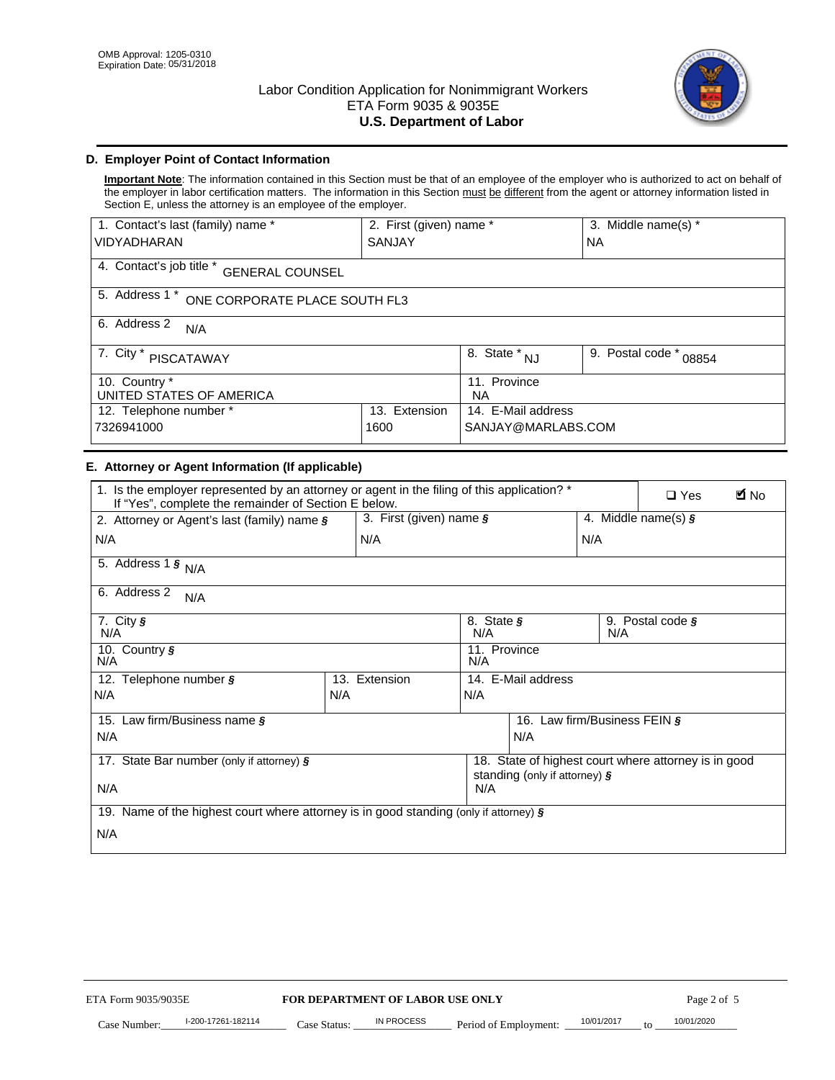

# **D. Employer Point of Contact Information**

**Important Note**: The information contained in this Section must be that of an employee of the employer who is authorized to act on behalf of the employer in labor certification matters. The information in this Section must be different from the agent or attorney information listed in Section E, unless the attorney is an employee of the employer.

| 1. Contact's last (family) name *                  | 2. First (given) name *        |                           | 3. Middle name(s) * |  |  |
|----------------------------------------------------|--------------------------------|---------------------------|---------------------|--|--|
| <b>VIDYADHARAN</b>                                 | <b>SANJAY</b>                  |                           | <b>NA</b>           |  |  |
| 4. Contact's job title *<br><b>GENERAL COUNSEL</b> |                                |                           |                     |  |  |
| 5. Address 1 *<br>ONE CORPORATE PLACE SOUTH FL3    |                                |                           |                     |  |  |
| 6. Address 2<br>N/A                                |                                |                           |                     |  |  |
| 7. City $*$<br>PISCATAWAY                          | $\overline{8}$ . State *<br>NJ | 9. Postal code *<br>08854 |                     |  |  |
| 10. Country *<br>UNITED STATES OF AMERICA          | 11. Province<br><b>NA</b>      |                           |                     |  |  |
| Extension<br>12. Telephone number *<br>13.         |                                | 14. E-Mail address        |                     |  |  |
| 7326941000<br>1600                                 |                                | SANJAY@MARLABS.COM        |                     |  |  |

# **E. Attorney or Agent Information (If applicable)**

| VIDYADHARAN                                                                                                                                         | SANJAY                           |                                           | <b>NA</b>                                |                  |                                                      |             |
|-----------------------------------------------------------------------------------------------------------------------------------------------------|----------------------------------|-------------------------------------------|------------------------------------------|------------------|------------------------------------------------------|-------------|
| 4. Contact's job title * GENERAL COUNSEL                                                                                                            |                                  |                                           |                                          |                  |                                                      |             |
| 5. Address 1 * ONE CORPORATE PLACE SOUTH FL3                                                                                                        |                                  |                                           |                                          |                  |                                                      |             |
| 6. Address 2<br>N/A                                                                                                                                 |                                  |                                           |                                          |                  |                                                      |             |
| 7. City * PISCATAWAY                                                                                                                                |                                  | $\overline{\phantom{a}}$ 8. State $^*$ NJ |                                          | 9. Postal code * | 08854                                                |             |
| 10. Country *<br>UNITED STATES OF AMERICA                                                                                                           |                                  | 11. Province<br><b>NA</b>                 |                                          |                  |                                                      |             |
| 12. Telephone number *<br>7326941000                                                                                                                | 13. Extension<br>1600            |                                           | 14. E-Mail address<br>SANJAY@MARLABS.COM |                  |                                                      |             |
| E. Attorney or Agent Information (If applicable)                                                                                                    |                                  |                                           |                                          |                  |                                                      |             |
| 1. Is the employer represented by an attorney or agent in the filing of this application? *<br>If "Yes", complete the remainder of Section E below. |                                  |                                           |                                          |                  | $\Box$ Yes                                           | <b>M</b> No |
| 2. Attorney or Agent's last (family) name §                                                                                                         | 3. First (given) name §          |                                           |                                          |                  | 4. Middle name(s) $\sqrt{s}$                         |             |
| N/A                                                                                                                                                 | N/A                              |                                           |                                          | N/A              |                                                      |             |
| 5. Address 1 $\frac{1}{9}$ N/A                                                                                                                      |                                  |                                           |                                          |                  |                                                      |             |
| 6. Address 2<br>N/A                                                                                                                                 |                                  |                                           |                                          |                  |                                                      |             |
| 7. City §<br>N/A                                                                                                                                    |                                  | 8. State §<br>N/A                         |                                          | N/A              | 9. Postal code §                                     |             |
| 10. Country §<br>N/A                                                                                                                                |                                  | 11. Province<br>N/A                       |                                          |                  |                                                      |             |
| 12. Telephone number §                                                                                                                              | 13. Extension                    | 14. E-Mail address                        |                                          |                  |                                                      |             |
| N/A                                                                                                                                                 | N/A                              | N/A                                       |                                          |                  |                                                      |             |
| 15. Law firm/Business name §                                                                                                                        |                                  |                                           | 16. Law firm/Business FEIN §             |                  |                                                      |             |
| N/A                                                                                                                                                 |                                  |                                           | N/A                                      |                  |                                                      |             |
| 17. State Bar number (only if attorney) §                                                                                                           |                                  |                                           | standing (only if attorney) §            |                  | 18. State of highest court where attorney is in good |             |
| N/A                                                                                                                                                 |                                  | N/A                                       |                                          |                  |                                                      |             |
| 19. Name of the highest court where attorney is in good standing (only if attorney) §                                                               |                                  |                                           |                                          |                  |                                                      |             |
| N/A                                                                                                                                                 |                                  |                                           |                                          |                  |                                                      |             |
|                                                                                                                                                     |                                  |                                           |                                          |                  |                                                      |             |
|                                                                                                                                                     |                                  |                                           |                                          |                  |                                                      |             |
|                                                                                                                                                     |                                  |                                           |                                          |                  |                                                      |             |
|                                                                                                                                                     |                                  |                                           |                                          |                  |                                                      |             |
|                                                                                                                                                     |                                  |                                           |                                          |                  |                                                      |             |
|                                                                                                                                                     |                                  |                                           |                                          |                  |                                                      |             |
|                                                                                                                                                     |                                  |                                           |                                          |                  |                                                      |             |
| ETA Form 9035/9035E                                                                                                                                 | FOR DEPARTMENT OF LABOR USE ONLY |                                           |                                          |                  | Page 2 of 5                                          |             |
| I-200-17261-182114                                                                                                                                  | IN PROCESS                       |                                           |                                          | 10/01/2017       | 10/01/2020                                           |             |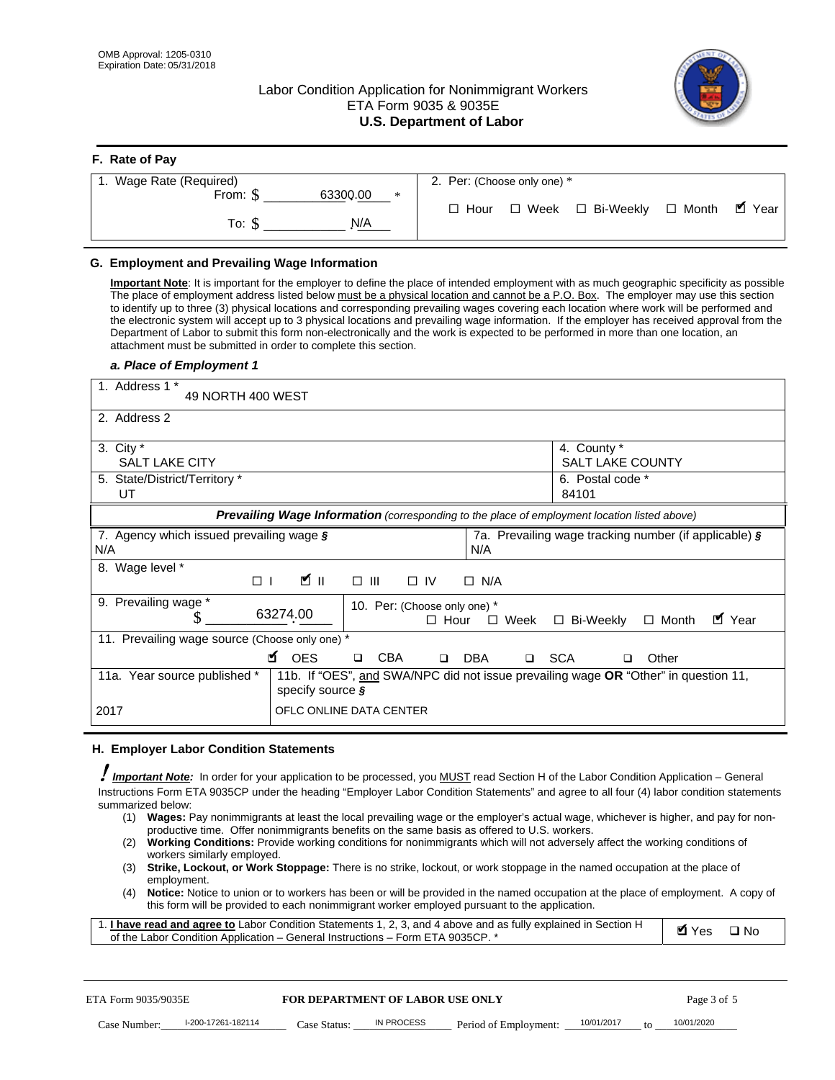**F. Rate of Pay** 

# Labor Condition Application for Nonimmigrant Workers ETA Form 9035 & 9035E **U.S. Department of Labor**



| <b>F.</b> Rate of Pay          |                                                     |
|--------------------------------|-----------------------------------------------------|
| 1. Wage Rate (Required)        | 2. Per: (Choose only one) *                         |
| 63300.00<br>From: \$<br>$\ast$ | □ Month ■ Year<br>□ Week □ Bi-Weekly<br>$\Box$ Hour |
| N/A<br>To: S                   |                                                     |

## **G. Employment and Prevailing Wage Information**

#### *a. Place of Employment 1*

| From: \$                                                                                                                                                                                                                                                                                                                                                                                                                                                                                                                                                                                                                                                                                                                                                                                                                                  | 63300.00<br>$\ast$<br>To: $\S$<br>N/A                                                                                                                                                                                                                                                                                                                                                                                                                                                                                                                                                                                                                                                                                                | $\Box$ Hour                                                | $\Box$ Week $\Box$ Bi-Weekly                          | $\blacksquare$ Year<br>$\Box$ Month |
|-------------------------------------------------------------------------------------------------------------------------------------------------------------------------------------------------------------------------------------------------------------------------------------------------------------------------------------------------------------------------------------------------------------------------------------------------------------------------------------------------------------------------------------------------------------------------------------------------------------------------------------------------------------------------------------------------------------------------------------------------------------------------------------------------------------------------------------------|--------------------------------------------------------------------------------------------------------------------------------------------------------------------------------------------------------------------------------------------------------------------------------------------------------------------------------------------------------------------------------------------------------------------------------------------------------------------------------------------------------------------------------------------------------------------------------------------------------------------------------------------------------------------------------------------------------------------------------------|------------------------------------------------------------|-------------------------------------------------------|-------------------------------------|
| G. Employment and Prevailing Wage Information<br>Important Note: It is important for the employer to define the place of intended employment with as much geographic specificity as possible<br>The place of employment address listed below must be a physical location and cannot be a P.O. Box. The employer may use this section<br>to identify up to three (3) physical locations and corresponding prevailing wages covering each location where work will be performed and<br>the electronic system will accept up to 3 physical locations and prevailing wage information. If the employer has received approval from the<br>Department of Labor to submit this form non-electronically and the work is expected to be performed in more than one location, an<br>attachment must be submitted in order to complete this section. |                                                                                                                                                                                                                                                                                                                                                                                                                                                                                                                                                                                                                                                                                                                                      |                                                            |                                                       |                                     |
| a. Place of Employment 1<br>1. Address 1 *                                                                                                                                                                                                                                                                                                                                                                                                                                                                                                                                                                                                                                                                                                                                                                                                |                                                                                                                                                                                                                                                                                                                                                                                                                                                                                                                                                                                                                                                                                                                                      |                                                            |                                                       |                                     |
| 49 NORTH 400 WEST<br>2. Address 2                                                                                                                                                                                                                                                                                                                                                                                                                                                                                                                                                                                                                                                                                                                                                                                                         |                                                                                                                                                                                                                                                                                                                                                                                                                                                                                                                                                                                                                                                                                                                                      |                                                            |                                                       |                                     |
|                                                                                                                                                                                                                                                                                                                                                                                                                                                                                                                                                                                                                                                                                                                                                                                                                                           |                                                                                                                                                                                                                                                                                                                                                                                                                                                                                                                                                                                                                                                                                                                                      |                                                            |                                                       |                                     |
| 3. City $*$<br><b>SALT LAKE CITY</b>                                                                                                                                                                                                                                                                                                                                                                                                                                                                                                                                                                                                                                                                                                                                                                                                      |                                                                                                                                                                                                                                                                                                                                                                                                                                                                                                                                                                                                                                                                                                                                      |                                                            | 4. County *<br><b>SALT LAKE COUNTY</b>                |                                     |
| 5. State/District/Territory *<br>UT                                                                                                                                                                                                                                                                                                                                                                                                                                                                                                                                                                                                                                                                                                                                                                                                       |                                                                                                                                                                                                                                                                                                                                                                                                                                                                                                                                                                                                                                                                                                                                      |                                                            | 6. Postal code *<br>84101                             |                                     |
|                                                                                                                                                                                                                                                                                                                                                                                                                                                                                                                                                                                                                                                                                                                                                                                                                                           | Prevailing Wage Information (corresponding to the place of employment location listed above)                                                                                                                                                                                                                                                                                                                                                                                                                                                                                                                                                                                                                                         |                                                            |                                                       |                                     |
| 7. Agency which issued prevailing wage §<br>N/A                                                                                                                                                                                                                                                                                                                                                                                                                                                                                                                                                                                                                                                                                                                                                                                           |                                                                                                                                                                                                                                                                                                                                                                                                                                                                                                                                                                                                                                                                                                                                      | N/A                                                        | 7a. Prevailing wage tracking number (if applicable) § |                                     |
| 8. Wage level *<br>$\Box$                                                                                                                                                                                                                                                                                                                                                                                                                                                                                                                                                                                                                                                                                                                                                                                                                 | <b>M</b><br>$\Box$<br>III                                                                                                                                                                                                                                                                                                                                                                                                                                                                                                                                                                                                                                                                                                            | $\Box$ IV<br>$\Box$ N/A                                    |                                                       |                                     |
| 9. Prevailing wage *<br>S                                                                                                                                                                                                                                                                                                                                                                                                                                                                                                                                                                                                                                                                                                                                                                                                                 | 63274.00                                                                                                                                                                                                                                                                                                                                                                                                                                                                                                                                                                                                                                                                                                                             | 10. Per: (Choose only one) *<br>$\Box$ Hour<br>$\Box$ Week | □ Bi-Weekly                                           | ■ Year<br>$\Box$ Month              |
| 11. Prevailing wage source (Choose only one) *                                                                                                                                                                                                                                                                                                                                                                                                                                                                                                                                                                                                                                                                                                                                                                                            | <b>¤</b> OES<br><b>CBA</b><br>$\Box$                                                                                                                                                                                                                                                                                                                                                                                                                                                                                                                                                                                                                                                                                                 | □ SCA<br>DBA<br>$\Box$                                     | □                                                     | Other                               |
| 11a. Year source published *                                                                                                                                                                                                                                                                                                                                                                                                                                                                                                                                                                                                                                                                                                                                                                                                              | 11b. If "OES", and SWA/NPC did not issue prevailing wage OR "Other" in question 11,<br>specify source $\boldsymbol{\S}$                                                                                                                                                                                                                                                                                                                                                                                                                                                                                                                                                                                                              |                                                            |                                                       |                                     |
| 2017                                                                                                                                                                                                                                                                                                                                                                                                                                                                                                                                                                                                                                                                                                                                                                                                                                      | OFLC ONLINE DATA CENTER                                                                                                                                                                                                                                                                                                                                                                                                                                                                                                                                                                                                                                                                                                              |                                                            |                                                       |                                     |
| H. Employer Labor Condition Statements                                                                                                                                                                                                                                                                                                                                                                                                                                                                                                                                                                                                                                                                                                                                                                                                    |                                                                                                                                                                                                                                                                                                                                                                                                                                                                                                                                                                                                                                                                                                                                      |                                                            |                                                       |                                     |
| Important Note: In order for your application to be processed, you MUST read Section H of the Labor Condition Application - General<br>Instructions Form ETA 9035CP under the heading "Employer Labor Condition Statements" and agree to all four (4) labor condition statements<br>summarized below:<br>(1)<br>(2)<br>workers similarly employed.<br>(3)<br>employment.<br>(4)<br>1. <i>I have read and agree to</i> Labor Condition Statements 1, 2, 3, and 4 above and as fully explained in Section H<br>of the Labor Condition Application - General Instructions - Form ETA 9035CP. *                                                                                                                                                                                                                                               | Wages: Pay nonimmigrants at least the local prevailing wage or the employer's actual wage, whichever is higher, and pay for non-<br>productive time. Offer nonimmigrants benefits on the same basis as offered to U.S. workers.<br><b>Working Conditions:</b> Provide working conditions for nonimmigrants which will not adversely affect the working conditions of<br>Strike, Lockout, or Work Stoppage: There is no strike, lockout, or work stoppage in the named occupation at the place of<br>Notice: Notice to union or to workers has been or will be provided in the named occupation at the place of employment. A copy of<br>this form will be provided to each nonimmigrant worker employed pursuant to the application. |                                                            |                                                       | <b>Ø</b> Yes<br>$\square$ No        |
| ETA Form 9035/9035E                                                                                                                                                                                                                                                                                                                                                                                                                                                                                                                                                                                                                                                                                                                                                                                                                       | <b>FOR DEPARTMENT OF LABOR USE ONLY</b>                                                                                                                                                                                                                                                                                                                                                                                                                                                                                                                                                                                                                                                                                              |                                                            |                                                       | Page 3 of 5                         |
| I-200-17261-182114<br>Case Number:                                                                                                                                                                                                                                                                                                                                                                                                                                                                                                                                                                                                                                                                                                                                                                                                        | IN PROCESS<br>Case Status: .                                                                                                                                                                                                                                                                                                                                                                                                                                                                                                                                                                                                                                                                                                         | Period of Employment:                                      | 10/01/2017                                            | 10/01/2020                          |

#### **H. Employer Labor Condition Statements**

- (1) **Wages:** Pay nonimmigrants at least the local prevailing wage or the employer's actual wage, whichever is higher, and pay for nonproductive time. Offer nonimmigrants benefits on the same basis as offered to U.S. workers.
- (2) **Working Conditions:** Provide working conditions for nonimmigrants which will not adversely affect the working conditions of workers similarly employed.
- (3) **Strike, Lockout, or Work Stoppage:** There is no strike, lockout, or work stoppage in the named occupation at the place of employment.
- (4) **Notice:** Notice to union or to workers has been or will be provided in the named occupation at the place of employment. A copy of this form will be provided to each nonimmigrant worker employed pursuant to the application.

| 1. I have read and agree to Labor Condition Statements 1, 2, 3, and 4 above and as fully explained in Section H | $\blacksquare$ Yes $\square$ No |  |
|-----------------------------------------------------------------------------------------------------------------|---------------------------------|--|
| of the Labor Condition Application – General Instructions – Form ETA 9035CP. *                                  |                                 |  |

| ETA Form 9035/9035E |                    | <b>FOR DEPARTMENT OF LABOR USE ONLY</b> |            |                       | Page 3 of 5 |    |            |
|---------------------|--------------------|-----------------------------------------|------------|-----------------------|-------------|----|------------|
| Case Number:        | l-200-17261-182114 | Case Status:                            | IN PROCESS | Period of Employment: | 10/01/2017  | tΩ | 10/01/2020 |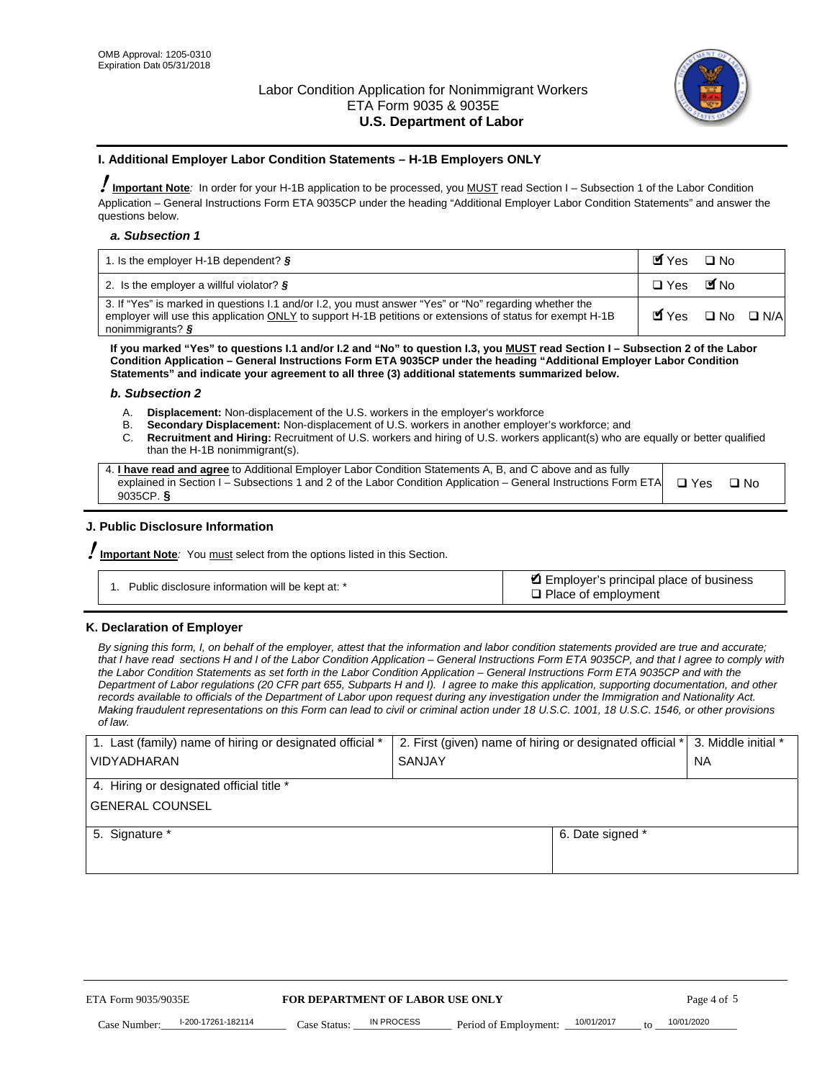

#### **I. Additional Employer Labor Condition Statements – H-1B Employers ONLY**

!**Important Note***:* In order for your H-1B application to be processed, you MUST read Section I – Subsection 1 of the Labor Condition Application – General Instructions Form ETA 9035CP under the heading "Additional Employer Labor Condition Statements" and answer the questions below.

#### *a. Subsection 1*

| 1. Is the employer H-1B dependent? $\S$                                                                                                                                                                                                 | Myes □ No                                     |  |
|-----------------------------------------------------------------------------------------------------------------------------------------------------------------------------------------------------------------------------------------|-----------------------------------------------|--|
| 2. Is the employer a willful violator? $\frac{1}{2}$                                                                                                                                                                                    | □ Yes ■No                                     |  |
| 3. If "Yes" is marked in questions I.1 and/or I.2, you must answer "Yes" or "No" regarding whether the<br>employer will use this application ONLY to support H-1B petitions or extensions of status for exempt H-1B<br>nonimmigrants? § | $\blacksquare$ Yes $\square$ No $\square$ N/A |  |

**If you marked "Yes" to questions I.1 and/or I.2 and "No" to question I.3, you MUST read Section I – Subsection 2 of the Labor Condition Application – General Instructions Form ETA 9035CP under the heading "Additional Employer Labor Condition Statements" and indicate your agreement to all three (3) additional statements summarized below.** 

#### *b. Subsection 2*

- A. **Displacement:** Non-displacement of the U.S. workers in the employer's workforce
- B. **Secondary Displacement:** Non-displacement of U.S. workers in another employer's workforce; and
- C. **Recruitment and Hiring:** Recruitment of U.S. workers and hiring of U.S. workers applicant(s) who are equally or better qualified than the H-1B nonimmigrant(s).

| 4. I have read and agree to Additional Employer Labor Condition Statements A, B, and C above and as fully       |            |      |
|-----------------------------------------------------------------------------------------------------------------|------------|------|
| explained in Section I – Subsections 1 and 2 of the Labor Condition Application – General Instructions Form ETA | $\Box$ Yes | ⊟ No |
| 9035CP. $\frac{5}{9}$                                                                                           |            |      |

# **J. Public Disclosure Information**

!**Important Note***:* You must select from the options listed in this Section.

| Public disclosure information will be kept at: * | Employer's principal place of business<br>$\Box$ Place of employment |
|--------------------------------------------------|----------------------------------------------------------------------|
|--------------------------------------------------|----------------------------------------------------------------------|

# **K. Declaration of Employer**

*By signing this form, I, on behalf of the employer, attest that the information and labor condition statements provided are true and accurate;*  that I have read sections H and I of the Labor Condition Application – General Instructions Form ETA 9035CP, and that I agree to comply with *the Labor Condition Statements as set forth in the Labor Condition Application – General Instructions Form ETA 9035CP and with the Department of Labor regulations (20 CFR part 655, Subparts H and I). I agree to make this application, supporting documentation, and other records available to officials of the Department of Labor upon request during any investigation under the Immigration and Nationality Act. Making fraudulent representations on this Form can lead to civil or criminal action under 18 U.S.C. 1001, 18 U.S.C. 1546, or other provisions of law.* 

| 1. Last (family) name of hiring or designated official * | 2. First (given) name of hiring or designated official * |                                               | 3. Middle initial * |
|----------------------------------------------------------|----------------------------------------------------------|-----------------------------------------------|---------------------|
| <b>VIDYADHARAN</b>                                       | <b>SANJAY</b>                                            |                                               | <b>NA</b>           |
| 4. Hiring or designated official title *                 |                                                          |                                               |                     |
| <b>GENERAL COUNSEL</b>                                   |                                                          |                                               |                     |
| 5. Signature *                                           |                                                          | 6. Date signed *                              |                     |
|                                                          |                                                          |                                               |                     |
|                                                          |                                                          |                                               |                     |
|                                                          |                                                          |                                               |                     |
|                                                          |                                                          |                                               |                     |
| ETA Form 9035/9035E                                      | FOR DEPARTMENT OF LABOR USE ONLY                         |                                               | Page 4 of 5         |
| I-200-17261-182114<br>Case Number<br>Case Status:        | IN PROCESS<br>Period of Employment:                      | 10/01/2017<br>10/01/2020<br>$\mathsf{t} \cap$ |                     |